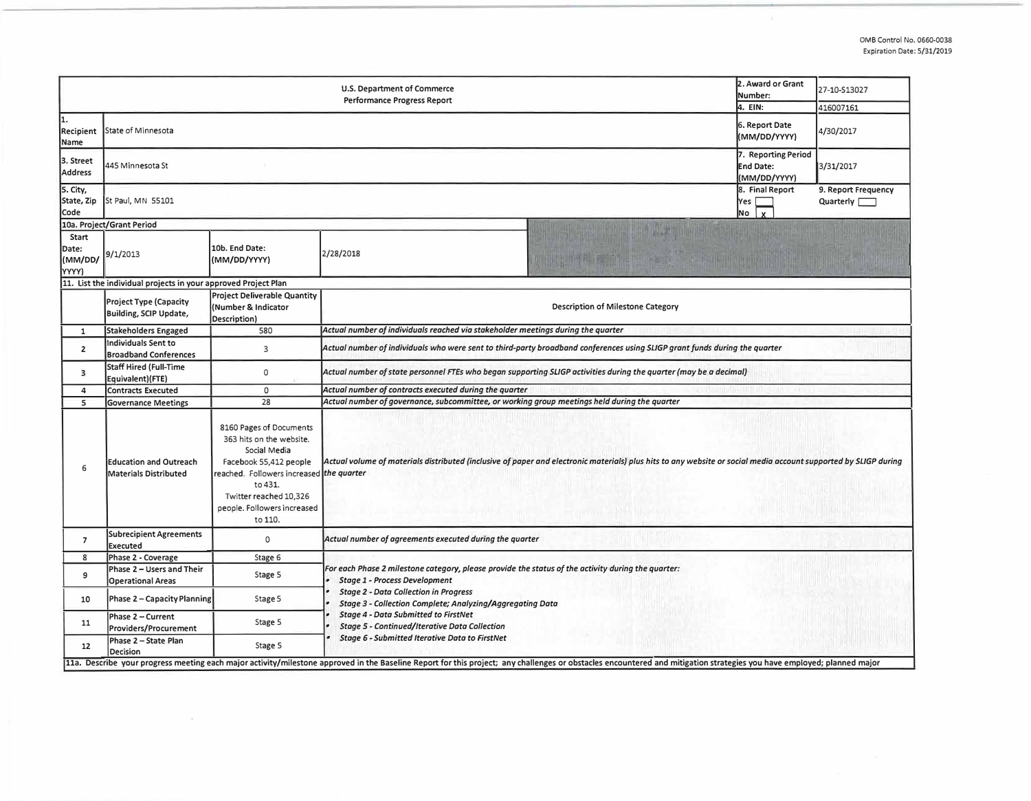| 2. Award or Grant<br>U.S. Department of Commerce<br>Number:<br><b>Performance Progress Report</b><br>4. EIN: |                                                                |                                                                                                                                                                                                                          |                                                                                                                                                                                                                                                                      |  | 27-10-S13027<br>416007161 |  |  |  |  |
|--------------------------------------------------------------------------------------------------------------|----------------------------------------------------------------|--------------------------------------------------------------------------------------------------------------------------------------------------------------------------------------------------------------------------|----------------------------------------------------------------------------------------------------------------------------------------------------------------------------------------------------------------------------------------------------------------------|--|---------------------------|--|--|--|--|
| 1.<br>Recipient<br>Name                                                                                      | State of Minnesota                                             | 6. Report Date<br>(MM/DD/YYYY)                                                                                                                                                                                           | 4/30/2017                                                                                                                                                                                                                                                            |  |                           |  |  |  |  |
| 3. Street<br><b>Address</b>                                                                                  | 445 Minnesota St                                               | 7. Reporting Period<br><b>End Date:</b><br>(MM/DD/YYYY)                                                                                                                                                                  | 3/31/2017                                                                                                                                                                                                                                                            |  |                           |  |  |  |  |
| 5. City,<br>State, Zip<br>Code                                                                               | St Paul, MN 55101                                              | 8. Final Report<br>Yes<br>No                                                                                                                                                                                             | 9. Report Frequency<br>Quarterly                                                                                                                                                                                                                                     |  |                           |  |  |  |  |
|                                                                                                              | 10a. Project/Grant Period                                      |                                                                                                                                                                                                                          |                                                                                                                                                                                                                                                                      |  |                           |  |  |  |  |
| Start<br>Date:<br>(MM/DD/<br>YYYY)                                                                           | 9/1/2013                                                       | 10b. End Date:<br>(MM/DD/YYYY)                                                                                                                                                                                           | 2/28/2018                                                                                                                                                                                                                                                            |  |                           |  |  |  |  |
|                                                                                                              | 11. List the individual projects in your approved Project Plan |                                                                                                                                                                                                                          |                                                                                                                                                                                                                                                                      |  |                           |  |  |  |  |
|                                                                                                              | <b>Project Type (Capacity</b><br>Building, SCIP Update,        | <b>Project Deliverable Quantity</b><br>(Number & Indicator<br>Description)                                                                                                                                               | <b>Description of Milestone Category</b>                                                                                                                                                                                                                             |  |                           |  |  |  |  |
| $\mathbf{1}$                                                                                                 | <b>Stakeholders Engaged</b>                                    | 580                                                                                                                                                                                                                      | Actual number of individuals reached via stakeholder meetings during the quarter                                                                                                                                                                                     |  |                           |  |  |  |  |
| 2                                                                                                            | Individuals Sent to<br><b>Broadband Conferences</b>            | $\overline{3}$                                                                                                                                                                                                           | Actual number of individuals who were sent to third-party broadband conferences using SLIGP grant funds during the quarter                                                                                                                                           |  |                           |  |  |  |  |
| 3                                                                                                            | <b>Staff Hired (Full-Time</b><br>Equivalent)(FTE)              | $\mathsf{o}$                                                                                                                                                                                                             | Actual number of state personnel FTEs who began supporting SLIGP activities during the quarter (may be a decimal)                                                                                                                                                    |  |                           |  |  |  |  |
| 4                                                                                                            | <b>Contracts Executed</b>                                      | $\mathsf{o}$                                                                                                                                                                                                             | Actual number of contracts executed during the quarter                                                                                                                                                                                                               |  |                           |  |  |  |  |
| 5                                                                                                            | <b>Governance Meetings</b>                                     | 28                                                                                                                                                                                                                       | Actual number of governance, subcommittee, or working group meetings held during the quarter                                                                                                                                                                         |  |                           |  |  |  |  |
| 6                                                                                                            | <b>Education and Outreach</b><br><b>Materials Distributed</b>  | 8160 Pages of Documents<br>363 hits on the website.<br>Social Media<br>Facebook 55,412 people<br>reached. Followers increased the quarter<br>to 431.<br>Twitter reached 10,326<br>people. Followers increased<br>to 110. | Actual volume of materials distributed (inclusive of paper and electronic materials) plus hits to any website or social media account supported by SLIGP during                                                                                                      |  |                           |  |  |  |  |
| $\overline{7}$                                                                                               | <b>Subrecipient Agreements</b><br><b>Executed</b>              | 0                                                                                                                                                                                                                        | Actual number of agreements executed during the quarter                                                                                                                                                                                                              |  |                           |  |  |  |  |
| 8                                                                                                            | Phase 2 - Coverage                                             | Stage 6                                                                                                                                                                                                                  |                                                                                                                                                                                                                                                                      |  |                           |  |  |  |  |
| 9                                                                                                            | Phase 2 - Users and Their<br><b>Operational Areas</b>          | Stage 5                                                                                                                                                                                                                  | For each Phase 2 milestone category, please provide the status of the activity during the quarter:<br>$\bullet$<br><b>Stage 1 - Process Development</b><br><b>Stage 2 - Data Collection in Progress</b><br>Stage 3 - Collection Complete; Analyzing/Aggregating Data |  |                           |  |  |  |  |
| 10                                                                                                           | Phase 2 - Capacity Planning                                    | Stage 5                                                                                                                                                                                                                  |                                                                                                                                                                                                                                                                      |  |                           |  |  |  |  |
| 11                                                                                                           | Phase 2 - Current<br>Providers/Procurement                     | Stage 5                                                                                                                                                                                                                  | <b>Stage 4 - Data Submitted to FirstNet</b><br><b>Stage 5 - Continued/Iterative Data Collection</b>                                                                                                                                                                  |  |                           |  |  |  |  |
| 12                                                                                                           | Phase 2 - State Plan<br><b>Decision</b>                        | Stage 5                                                                                                                                                                                                                  | Stage 6 - Submitted Iterative Data to FirstNet                                                                                                                                                                                                                       |  |                           |  |  |  |  |
|                                                                                                              |                                                                |                                                                                                                                                                                                                          | 11a. Describe your progress meeting each major activity/milestone approved in the Baseline Report for this project; any challenges or obstacles encountered and mitigation strategies you have employed; planned major                                               |  |                           |  |  |  |  |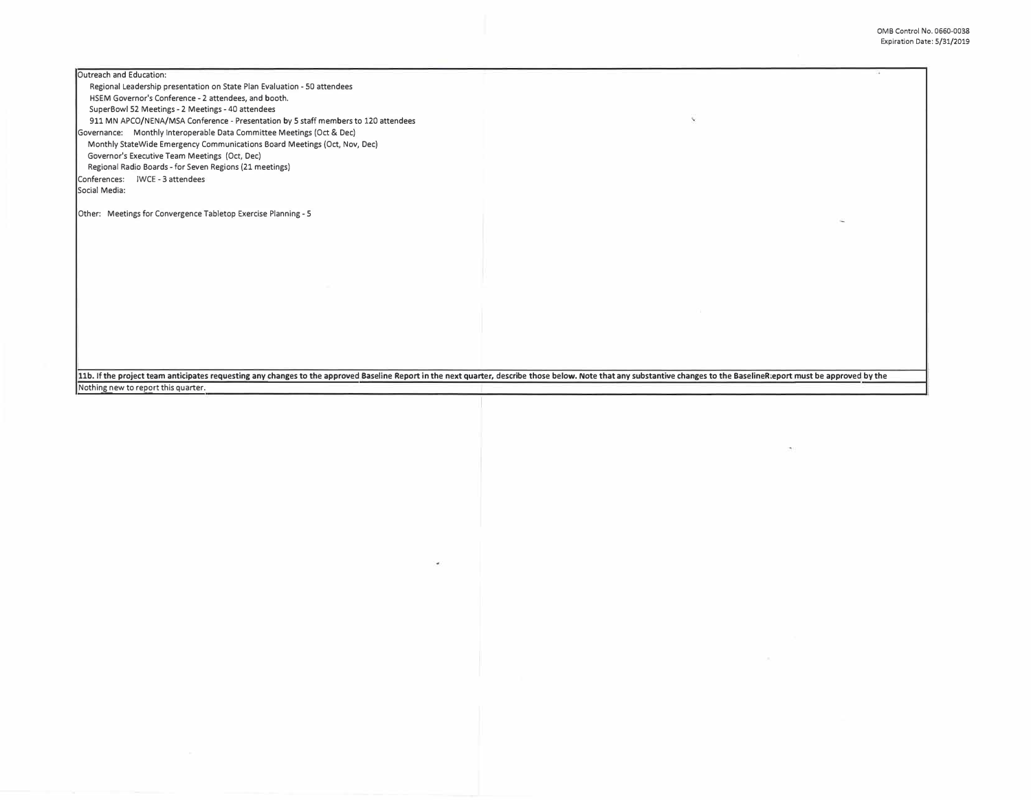Outreach and Education:

Regional Leadership presentation on State Plan Evaluation - SO attendees HSEM Governor's Conference -2 attendees, and booth. SuperBowl 52 Meetings -2 Meetings -40 attendees 911 MN APCO/NENA/MSA Conference - Presentation by 5 staff members to 120 attendees Governance: Monthly Interoperable Data Committee Meetings (Oct & Dec) Monthly StateWide Emergency Communications Board Meetings (Oct, Nov, Dec) Governor's Executive Team Meetings (Oct, Dec) Regional Radio Boards -for Seven Regions (21 meetings)

Conferences: IWCE - 3 attendees Social Media:

Other: Meetings for Convergence Tabletop Exercise Planning -5

11b. If the project team anticipates requesting any changes to the approved Baseline Report in the next quarter, describe those below. Note that any substantive changes to the BaselineR:eport must be approved by the Nothin \_ g \_ 11b. If the project team anticipates requesting any changes to the approved Baseline Report in the next quarter, describe those below. Note that any substantive changes to the BaselineR:eport must be approved by the<br>Nothin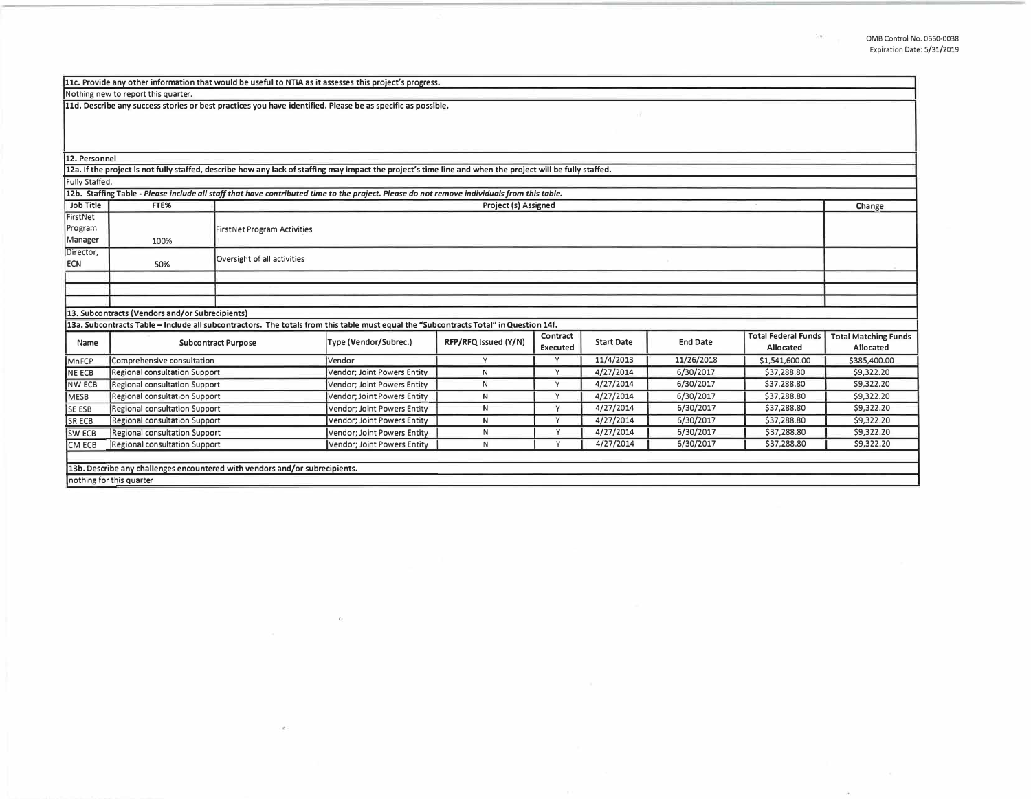$\langle \Phi \rangle$ 

 $\sim 0$  .

| 11c. Provide any other information that would be useful to NTIA as it assesses this project's progress.                                                                                  |                                      |                                    |                             |                      |                             |                   |                 |                                         |                                          |  |
|------------------------------------------------------------------------------------------------------------------------------------------------------------------------------------------|--------------------------------------|------------------------------------|-----------------------------|----------------------|-----------------------------|-------------------|-----------------|-----------------------------------------|------------------------------------------|--|
| Nothing new to report this quarter.                                                                                                                                                      |                                      |                                    |                             |                      |                             |                   |                 |                                         |                                          |  |
| 11d. Describe any success stories or best practices you have identified. Please be as specific as possible.                                                                              |                                      |                                    |                             |                      |                             |                   |                 |                                         |                                          |  |
| 12. Personnel                                                                                                                                                                            |                                      |                                    |                             |                      |                             |                   |                 |                                         |                                          |  |
| 12a. If the project is not fully staffed, describe how any lack of staffing may impact the project's time line and when the project will be fully staffed.                               |                                      |                                    |                             |                      |                             |                   |                 |                                         |                                          |  |
| Fully Staffed.                                                                                                                                                                           |                                      |                                    |                             |                      |                             |                   |                 |                                         |                                          |  |
| 12b. Staffing Table - Please include all staff that have contributed time to the praject. Please do not remove individuals from this table.                                              |                                      |                                    |                             |                      |                             |                   |                 |                                         |                                          |  |
| Job Title                                                                                                                                                                                | FTE%                                 | Project (s) Assigned               |                             |                      |                             |                   |                 | Change                                  |                                          |  |
| FirstNet<br>Program<br>Manager                                                                                                                                                           | 100%                                 | <b>FirstNet Program Activities</b> |                             |                      |                             |                   |                 |                                         |                                          |  |
| Director,                                                                                                                                                                                |                                      |                                    |                             |                      |                             |                   |                 |                                         |                                          |  |
| <b>ECN</b>                                                                                                                                                                               | 50%                                  | Oversight of all activities        |                             |                      |                             |                   |                 |                                         |                                          |  |
|                                                                                                                                                                                          |                                      |                                    |                             |                      |                             |                   |                 |                                         |                                          |  |
|                                                                                                                                                                                          |                                      |                                    |                             |                      |                             |                   |                 |                                         |                                          |  |
|                                                                                                                                                                                          |                                      |                                    |                             |                      |                             |                   |                 |                                         |                                          |  |
| 13. Subcontracts (Vendors and/or Subrecipients)<br>13a. Subcontracts Table - Include all subcontractors. The totals from this table must equal the "Subcontracts Total" in Question 14f. |                                      |                                    |                             |                      |                             |                   |                 |                                         |                                          |  |
| Name                                                                                                                                                                                     | <b>Subcontract Purpose</b>           |                                    | Type (Vendor/Subrec.)       | RFP/RFQ Issued (Y/N) | Contract<br><b>Executed</b> | <b>Start Date</b> | <b>End Date</b> | <b>Total Federal Funds</b><br>Allocated | <b>Total Matching Funds</b><br>Allocated |  |
| MnFCP                                                                                                                                                                                    | Comprehensive consultation           |                                    | Vendor                      | Y                    | $\vee$                      | 11/4/2013         | 11/26/2018      | \$1,541,600.00                          | \$385,400.00                             |  |
| <b>NE ECB</b>                                                                                                                                                                            | Regional consultation Support        |                                    | Vendor; Joint Powers Entity | $\mathsf{N}$         | Y                           | 4/27/2014         | 6/30/2017       | \$37,288.80                             | \$9,322.20                               |  |
| <b>NW ECB</b>                                                                                                                                                                            | Regional consultation Support        |                                    | Vendor; Joint Powers Entity | N                    | Y                           | 4/27/2014         | 6/30/2017       | \$37,288.80                             | \$9,322.20                               |  |
| MESB                                                                                                                                                                                     | Regional consultation Support        |                                    | Vendor; Joint Powers Entity | N                    | Y                           | 4/27/2014         | 6/30/2017       | \$37,288.80                             | \$9,322.20                               |  |
| SE ESB                                                                                                                                                                                   | Regional consultation Support        |                                    | Vendor; Joint Powers Entity | N                    | Y                           | 4/27/2014         | 6/30/2017       | \$37,288.80                             | \$9,322.20                               |  |
| SR ECB                                                                                                                                                                                   | Regional consultation Support        |                                    | Vendor: Joint Powers Entity | N                    | Y                           | 4/27/2014         | 6/30/2017       | \$37,288.80                             | \$9,322.20                               |  |
| <b>SW ECB</b>                                                                                                                                                                            | Regional consultation Support        |                                    | Vendor; Joint Powers Entity | N                    | v                           | 4/27/2014         | 6/30/2017       | \$37,288.80                             | \$9,322.20                               |  |
| CM ECB                                                                                                                                                                                   | <b>Regional consultation Support</b> |                                    | Vendor; Joint Powers Entity | N                    |                             | 4/27/2014         | 6/30/2017       | \$37,288.80                             | \$9,322.20                               |  |
| 13b. Describe any challenges encountered with vendors and/or subrecipients.                                                                                                              |                                      |                                    |                             |                      |                             |                   |                 |                                         |                                          |  |
| nothing for this quarter                                                                                                                                                                 |                                      |                                    |                             |                      |                             |                   |                 |                                         |                                          |  |

 $\sim 100$  m  $^{-1}$ 

 $\epsilon \in \mathbb{R}$